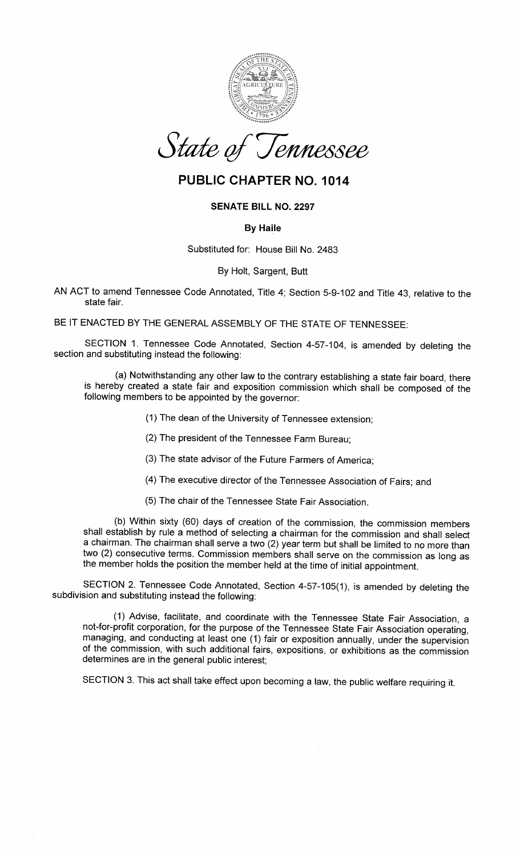

State of Tennessee

# PUBLIC CHAPTER NO. 1014

## SENATE BILL NO.2297

#### By Haile

Substituted for: House Bill No. 2483

### By Holt, Sargent, Butt

AN ACT to amend Tennessee Code Annotated, Title 4; Section 5-9-102 and Title 43, relative to thestate fair.

BE IT ENACTED BY THE GENERAL ASSEMBLY OF THE STATE OF TENNESSEE:

SECTION 1. Tennessee Code Annotated, Section 4-57-104, is amended by deleting thesection and substituting instead the following:

(a) Notwithstanding any other law to the contrary establishing a state fair board, there is hereby created a state fair and exposition commission which shall be composed of thefollowing members to be appointed by the governor:

- (1) The dean of the University of Tennessee extension;
- (2) The president of the Tennessee Farm Bureau;
- (3) The state advisor of the Future Farmers of America;
- (4) The executive director of the Tennessee Association of Fairs; and
- (5) The chair of the Tennessee State Fair Association.

(b) Within sixty (60) days of creation of the commission, the commission members shall establish by rule a method of selecting a chairman for the commission and shall select a chairman. The chairman shall serve a two (2) year term but shall be limited to no more than two (2) consecutive terms. Commission members shall serve on the commission as long asthe member holds the position the member held at the time of initial appointment.

SECTION 2. Tennessee Code Annotated, Section 4-57-105(1), is amended by deleting thesubdivision and substituting instead the following:

(1) Advise, facilitate, and coordinate with the Tennessee State Fair Association, a not-for-profit corporation, for the purpose of the Tennessee State Fair Association operating, managing, and conducting at least one (1) fair or exposition annually, under the supervision of the commission, with such additional fairs, expositions, or exhibitions as the commissiondetermines are in the general public interest;

SECTION 3. This act shall take effect upon becoming a law, the public welfare requiring it.